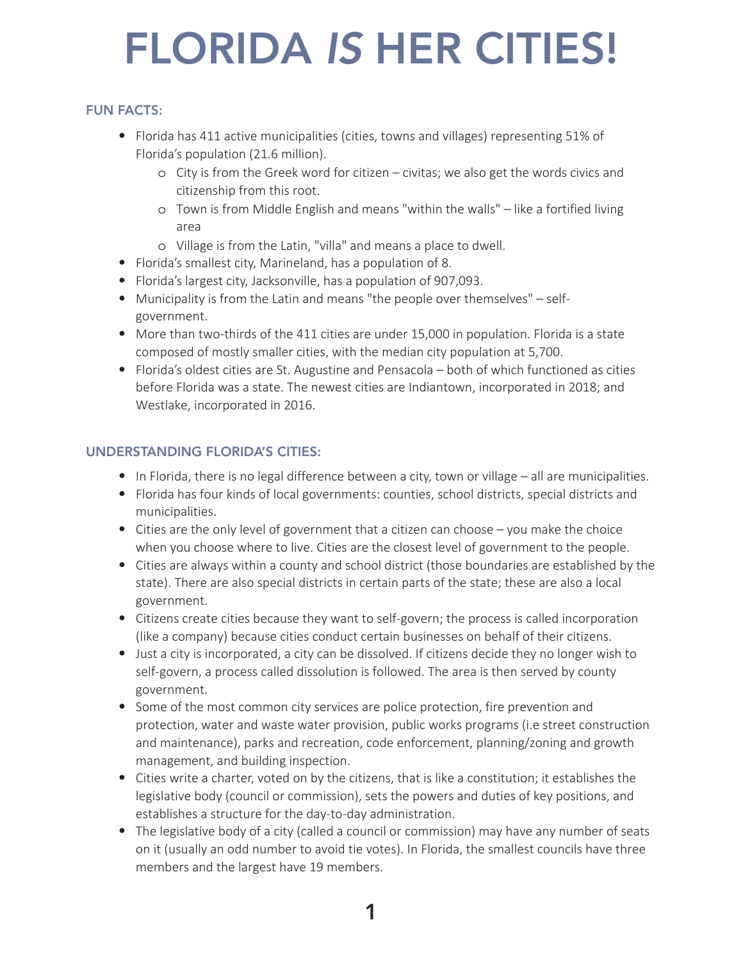# FLORIDA *IS* HER CITIES!

# FUN FACTS:

- Florida has 411 active municipalities (cities, towns and villages) representing 51% of Florida's population (21.6 million).
	- o City is from the Greek word for citizen civitas; we also get the words civics and citizenship from this root.
	- o Town is from Middle English and means "within the walls" like a fortified living area
	- o Village is from the Latin, "villa" and means a place to dwell.
- Florida's smallest city, Marineland, has a population of 8.
- Florida's largest city, Jacksonville, has a population of 907,093.
- Municipality is from the Latin and means "the people over themselves" selfgovernment.
- More than two-thirds of the 411 cities are under 15,000 in population. Florida is a state composed of mostly smaller cities, with the median city population at 5,700.
- Florida's oldest cities are St. Augustine and Pensacola both of which functioned as cities before Florida was a state. The newest cities are Indiantown, incorporated in 2018; and Westlake, incorporated in 2016.

# UNDERSTANDING FLORIDA'S CITIES:

- In Florida, there is no legal difference between a city, town or village all are municipalities.
- Florida has four kinds of local governments: counties, school districts, special districts and municipalities.
- Cities are the only level of government that a citizen can choose you make the choice when you choose where to live. Cities are the closest level of government to the people.
- Cities are always within a county and school district (those boundaries are established by the state). There are also special districts in certain parts of the state; these are also a local government.
- Citizens create cities because they want to self-govern; the process is called incorporation (like a company) because cities conduct certain businesses on behalf of their citizens.
- Just a city is incorporated, a city can be dissolved. If citizens decide they no longer wish to self-govern, a process called dissolution is followed. The area is then served by county government.
- Some of the most common city services are police protection, fire prevention and protection, water and waste water provision, public works programs (i.e street construction and maintenance), parks and recreation, code enforcement, planning/zoning and growth management, and building inspection.
- Cities write a charter, voted on by the citizens, that is like a constitution; it establishes the legislative body (council or commission), sets the powers and duties of key positions, and establishes a structure for the day-to-day administration.
- The legislative body of a city (called a council or commission) may have any number of seats on it (usually an odd number to avoid tie votes). In Florida, the smallest councils have three members and the largest have 19 members.